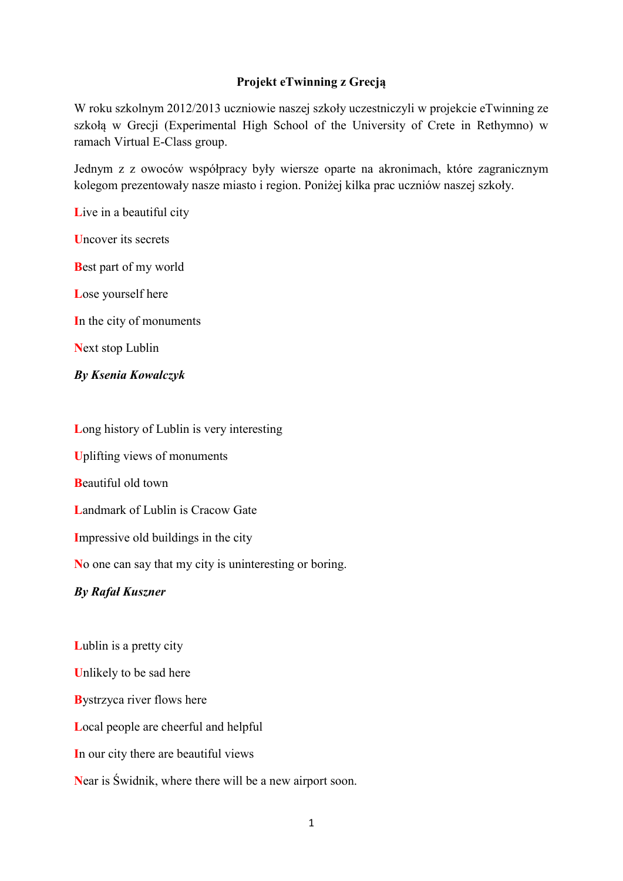## **Projekt eTwinning z Grecją**

W roku szkolnym 2012/2013 uczniowie naszej szkoły uczestniczyli w projekcie eTwinning ze szkołą w Grecji (Experimental High School of the University of Crete in Rethymno) w ramach Virtual E-Class group.

Jednym z z owoców współpracy były wiersze oparte na akronimach, które zagranicznym kolegom prezentowały nasze miasto i region. Poniżej kilka prac uczniów naszej szkoły.

Live in a beautiful city

**U**ncover its secrets

**B**est part of my world

**L**ose yourself here

**I**n the city of monuments

**N**ext stop Lublin

*By Ksenia Kowalczyk*

**L**ong history of Lublin is very interesting

**U**plifting views of monuments

**B**eautiful old town

**L**andmark of Lublin is Cracow Gate

**I**mpressive old buildings in the city

**N**o one can say that my city is uninteresting or boring.

## *By Rafał Kuszner*

**L**ublin is a pretty city **U**nlikely to be sad here **B**ystrzyca river flows here **L**ocal people are cheerful and helpful **I**n our city there are beautiful views **N**ear is Świdnik, where there will be a new airport soon.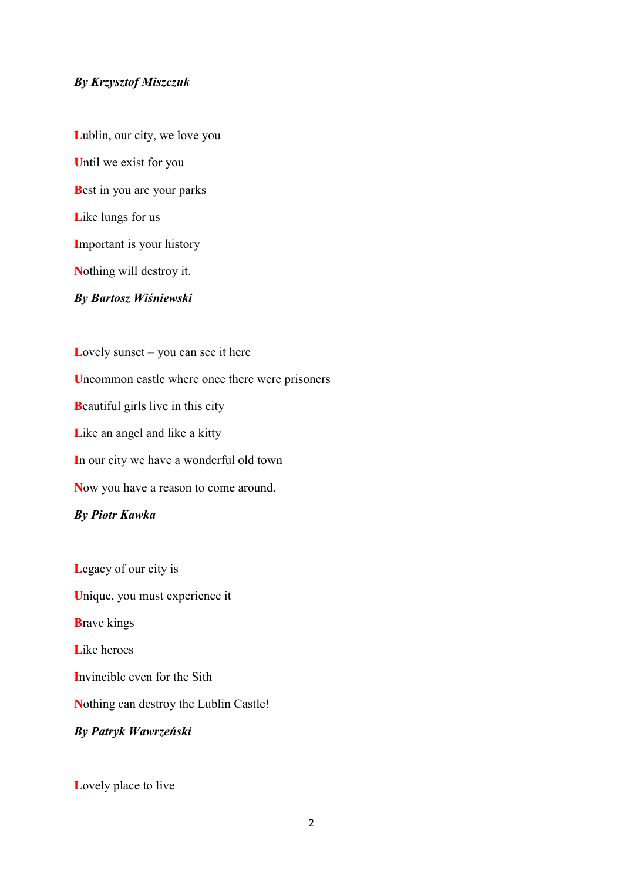#### *By Krzysztof Miszczuk*

**L**ublin, our city, we love you **U**ntil we exist for you **B**est in you are your parks **L**ike lungs for us **I**mportant is your history **N**othing will destroy it. *By Bartosz Wiśniewski*

Lovely sunset – you can see it here **U**ncommon castle where once there were prisoners **B**eautiful girls live in this city Like an angel and like a kitty **I**n our city we have a wonderful old town **N**ow you have a reason to come around.

## *By Piotr Kawka*

**L**egacy of our city is **U**nique, you must experience it **B**rave kings **L**ike heroes **I**nvincible even for the Sith **N**othing can destroy the Lublin Castle! *By Patryk Wawrzeński*

**L**ovely place to live